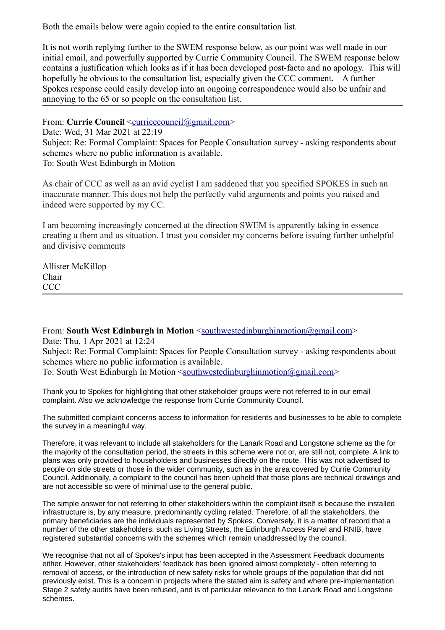Both the emails below were again copied to the entire consultation list.

It is not worth replying further to the SWEM response below, as our point was well made in our initial email, and powerfully supported by Currie Community Council. The SWEM response below contains a justification which looks as if it has been developed post-facto and no apology. This will hopefully be obvious to the consultation list, especially given the CCC comment. A further Spokes response could easily develop into an ongoing correspondence would also be unfair and annoying to the 65 or so people on the consultation list.

From: **Currie Council** [<currieccouncil@gmail.com>](mailto:currieccouncil@gmail.com)

Date: Wed, 31 Mar 2021 at 22:19 Subject: Re: Formal Complaint: Spaces for People Consultation survey - asking respondents about schemes where no public information is available. To: South West Edinburgh in Motion

As chair of CCC as well as an avid cyclist I am saddened that you specified SPOKES in such an inaccurate manner. This does not help the perfectly valid arguments and points you raised and indeed were supported by my CC.

I am becoming increasingly concerned at the direction SWEM is apparently taking in essence creating a them and us situation. I trust you consider my concerns before issuing further unhelpful and divisive comments

Allister McKillop Chair CCC

From: **South West Edinburgh in Motion** [<southwestedinburghinmotion@gmail.com>](mailto:southwestedinburghinmotion@gmail.com) Date: Thu, 1 Apr 2021 at 12:24

Subject: Re: Formal Complaint: Spaces for People Consultation survey - asking respondents about schemes where no public information is available.

To: South West Edinburgh In Motion [<southwestedinburghinmotion@gmail.com>](mailto:southwestedinburghinmotion@gmail.com)

Thank you to Spokes for highlighting that other stakeholder groups were not referred to in our email complaint. Also we acknowledge the response from Currie Community Council.

The submitted complaint concerns access to information for residents and businesses to be able to complete the survey in a meaningful way.

Therefore, it was relevant to include all stakeholders for the Lanark Road and Longstone scheme as the for the majority of the consultation period, the streets in this scheme were not or, are still not, complete. A link to plans was only provided to householders and businesses directly on the route. This was not advertised to people on side streets or those in the wider community, such as in the area covered by Currie Community Council. Additionally, a complaint to the council has been upheld that those plans are technical drawings and are not accessible so were of minimal use to the general public.

The simple answer for not referring to other stakeholders within the complaint itself is because the installed infrastructure is, by any measure, predominantly cycling related. Therefore, of all the stakeholders, the primary beneficiaries are the individuals represented by Spokes. Conversely, it is a matter of record that a number of the other stakeholders, such as Living Streets, the Edinburgh Access Panel and RNIB, have registered substantial concerns with the schemes which remain unaddressed by the council.

We recognise that not all of Spokes's input has been accepted in the Assessment Feedback documents either. However, other stakeholders' feedback has been ignored almost completely - often referring to removal of access, or the introduction of new safety risks for whole groups of the population that did not previously exist. This is a concern in projects where the stated aim is safety and where pre-implementation Stage 2 safety audits have been refused, and is of particular relevance to the Lanark Road and Longstone schemes.